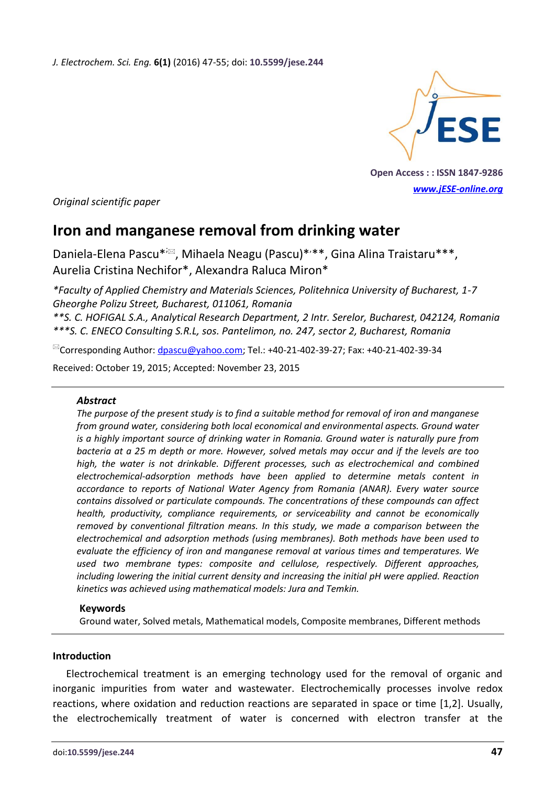*J. Electrochem. Sci. Eng.* **6(1)** (2016) 47-55; doi: **10.5599/jese.244**



**Open Access : : ISSN 1847-9286** *[www.jESE-online.org](http://www.jese-online.org/)*

*Original scientific paper*

# **Iron and manganese removal from drinking water**

Daniela-Elena Pascu<sup>\*;⊠</sup>, Mihaela Neagu (Pascu)\*<sup>,</sup>\*\*, Gina Alina Traistaru\*\*\*, Aurelia Cristina Nechifor\*, Alexandra Raluca Miron\*

*\*Faculty of Applied Chemistry and Materials Sciences, Politehnica University of Bucharest, 1-7 Gheorghe Polizu Street, Bucharest, 011061, Romania*

*\*\*S. C. HOFIGAL S.A., Analytical Research Department, 2 Intr. Serelor, Bucharest, 042124, Romania \*\*\*S. C. ENECO Consulting S.R.L, sos. Pantelimon, no. 247, sector 2, Bucharest, Romania*

 $^{\boxtimes}$ Corresponding Author: [dpascu@yahoo.com;](mailto:dpascu@yahoo.com) Tel.: +40-21-402-39-27; Fax: +40-21-402-39-34

Received: October 19, 2015; Accepted: November 23, 2015

#### *Abstract*

*The purpose of the present study is to find a suitable method for removal of iron and manganese from ground water, considering both local economical and environmental aspects. Ground water is a highly important source of drinking water in Romania. Ground water is naturally pure from bacteria at a 25 m depth or more. However, solved metals may occur and if the levels are too high, the water is not drinkable. Different processes, such as electrochemical and combined electrochemical-adsorption methods have been applied to determine metals content in accordance to reports of National Water Agency from Romania (ANAR). Every water source contains dissolved or particulate compounds. The concentrations of these compounds can affect health, productivity, compliance requirements, or serviceability and cannot be economically removed by conventional filtration means. In this study, we made a comparison between the electrochemical and adsorption methods (using membranes). Both methods have been used to evaluate the efficiency of iron and manganese removal at various times and temperatures. We used two membrane types: composite and cellulose, respectively. Different approaches, including lowering the initial current density and increasing the initial pH were applied. Reaction kinetics was achieved using mathematical models: Jura and Temkin.*

#### **Keywords**

Ground water, Solved metals, Mathematical models, Composite membranes, Different methods

## **Introduction**

Electrochemical treatment is an emerging technology used for the removal of organic and inorganic impurities from water and wastewater. Electrochemically processes involve redox reactions, where oxidation and reduction reactions are separated in space or time [1,2]. Usually, the electrochemically treatment of water is concerned with electron transfer at the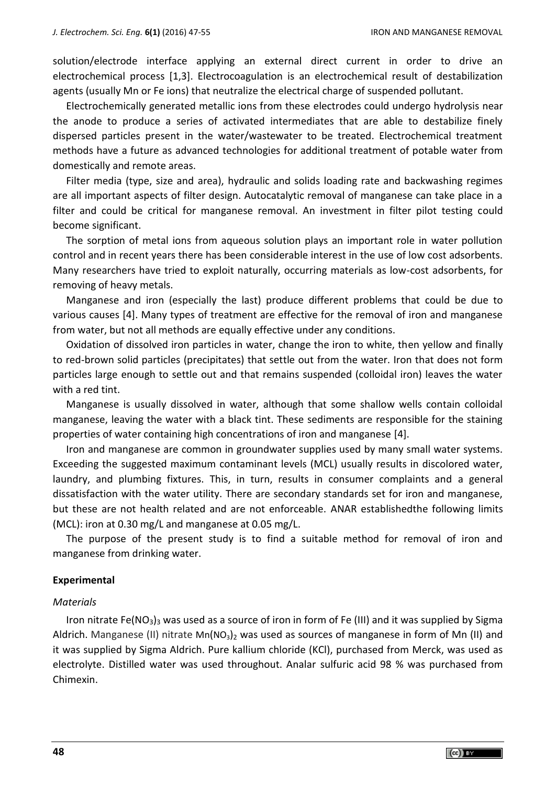solution/electrode interface applying an external direct current in order to drive an electrochemical process [1,3]. Electrocoagulation is an electrochemical result of destabilization agents (usually Mn or Fe ions) that neutralize the electrical charge of suspended pollutant.

Electrochemically generated metallic ions from these electrodes could undergo hydrolysis near the anode to produce a series of activated intermediates that are able to destabilize finely dispersed particles present in the water/wastewater to be treated. Electrochemical treatment methods have a future as advanced technologies for additional treatment of potable water from domestically and remote areas.

Filter media (type, size and area), hydraulic and solids loading rate and backwashing regimes are all important aspects of filter design. Autocatalytic removal of manganese can take place in a filter and could be critical for manganese removal. An investment in filter pilot testing could become significant.

The sorption of metal ions from aqueous solution plays an important role in water pollution control and in recent years there has been considerable interest in the use of low cost adsorbents. Many researchers have tried to exploit naturally, occurring materials as low-cost adsorbents, for removing of heavy metals.

Manganese and iron (especially the last) produce different problems that could be due to various causes [4]. Many types of treatment are effective for the removal of iron and manganese from water, but not all methods are equally effective under any conditions.

Oxidation of dissolved iron particles in water, change the iron to white, then yellow and finally to red-brown solid particles (precipitates) that settle out from the water. Iron that does not form particles large enough to settle out and that remains suspended (colloidal iron) leaves the water with a red tint.

Manganese is usually dissolved in water, although that some shallow wells contain colloidal manganese, leaving the water with a black tint. These sediments are responsible for the staining properties of water containing high concentrations of iron and manganese [4].

Iron and manganese are common in groundwater supplies used by many small water systems. Exceeding the suggested maximum contaminant levels (MCL) usually results in discolored water, laundry, and plumbing fixtures. This, in turn, results in consumer complaints and a general dissatisfaction with the water utility. There are secondary standards set for iron and manganese, but these are not health related and are not enforceable. ANAR establishedthe following limits (MCL): iron at 0.30 mg/L and manganese at 0.05 mg/L.

The purpose of the present study is to find a suitable method for removal of iron and manganese from drinking water.

#### **Experimental**

#### *Materials*

Iron nitrate Fe(NO<sub>3</sub>)<sub>3</sub> was used as a source of iron in form of Fe (III) and it was supplied by Sigma Aldrich. Manganese (II) nitrate  $Mn(NO_3)_2$  $Mn(NO_3)_2$  $Mn(NO_3)_2$  $Mn(NO_3)_2$  was used as sources of manganese in form of Mn (II) and it was supplied by Sigma Aldrich. Pure kallium chloride (KCl), purchased from Merck, was used as electrolyte. Distilled water was used throughout. Analar sulfuric acid 98 % was purchased from Chimexin.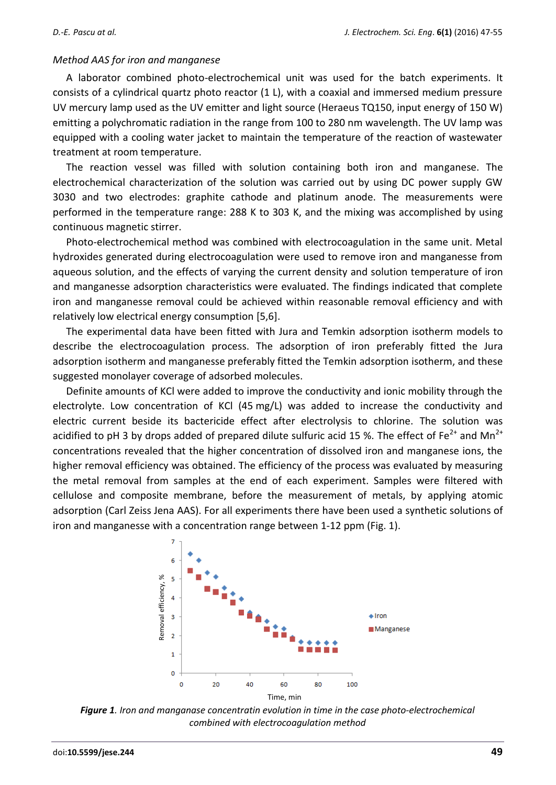# *Method AAS for iron and manganese*

A laborator combined photo-electrochemical unit was used for the batch experiments. It consists of a cylindrical quartz photo reactor (1 L), with a coaxial and immersed medium pressure UV mercury lamp used as the UV emitter and light source (Heraeus TQ150, input energy of 150 W) emitting a polychromatic radiation in the range from 100 to 280 nm wavelength. The UV lamp was equipped with a cooling water jacket to maintain the temperature of the reaction of wastewater treatment at room temperature.

The reaction vessel was filled with solution containing both iron and manganese. The electrochemical characterization of the solution was carried out by using DC power supply GW 3030 and two electrodes: graphite cathode and platinum anode. The measurements were performed in the temperature range: 288 K to 303 K, and the mixing was accomplished by using continuous magnetic stirrer.

Photo-electrochemical method was combined with electrocoagulation in the same unit. Metal hydroxides generated during electrocoagulation were used to remove iron and manganesse from aqueous solution, and the effects of varying the current density and solution temperature of iron and manganesse adsorption characteristics were evaluated. The findings indicated that complete iron and manganesse removal could be achieved within reasonable removal efficiency and with relatively low electrical energy consumption [5,6].

The experimental data have been fitted with Jura and Temkin adsorption isotherm models to describe the electrocoagulation process. The adsorption of iron preferably fitted the Jura adsorption isotherm and manganesse preferably fitted the Temkin adsorption isotherm, and these suggested monolayer coverage of adsorbed molecules.

Definite amounts of KCl were added to improve the conductivity and ionic mobility through the electrolyte. Low concentration of KCl (45 mg/L) was added to increase the conductivity and electric current beside its bactericide effect after electrolysis to chlorine. The solution was acidified to pH 3 by drops added of prepared dilute sulfuric acid 15 %. The effect of  $Fe^{2+}$  and Mn<sup>2+</sup> concentrations revealed that the higher concentration of dissolved iron and manganese ions, the higher removal efficiency was obtained. The efficiency of the process was evaluated by measuring the metal removal from samples at the end of each experiment. Samples were filtered with cellulose and composite membrane, before the measurement of metals, by applying atomic adsorption (Carl Zeiss Jena AAS). For all experiments there have been used a synthetic solutions of iron and manganesse with a concentration range between 1-12 ppm (Fig. 1).



*Figure 1. Iron and manganase concentratin evolution in time in the case photo-electrochemical combined with electrocoagulation method*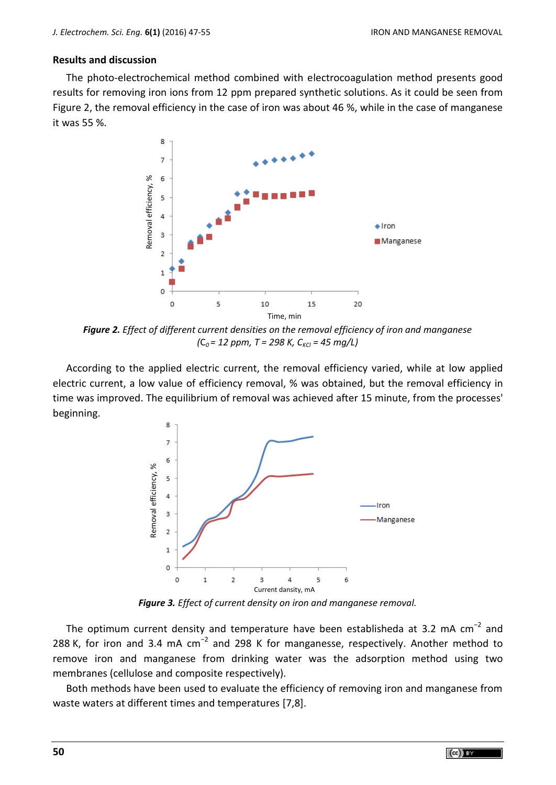# **Results and discussion**

The photo-electrochemical method combined with electrocoagulation method presents good results for removing iron ions from 12 ppm prepared synthetic solutions. As it could be seen from Figure 2, the removal efficiency in the case of iron was about 46 %, while in the case of manganese it was 55 %.



*Figure 2. Effect of different current densities on the removal efficiency of iron and manganese (*C*<sup>0</sup> = 12 ppm, T = 298 K, CKCl = 45 mg/L)*

According to the applied electric current, the removal efficiency varied, while at low applied electric current, a low value of efficiency removal, % was obtained, but the removal efficiency in time was improved. The equilibrium of removal was achieved after 15 minute, from the processes' beginning.



*Figure 3. Effect of current density on iron and manganese removal.*

The optimum current density and temperature have been establisheda at 3.2 mA cm<sup>-2</sup> and 288 K, for iron and 3.4 mA cm<sup>-2</sup> and 298 K for manganesse, respectively. Another method to remove iron and manganese from drinking water was the adsorption method using two membranes (cellulose and composite respectively).

Both methods have been used to evaluate the efficiency of removing iron and manganese from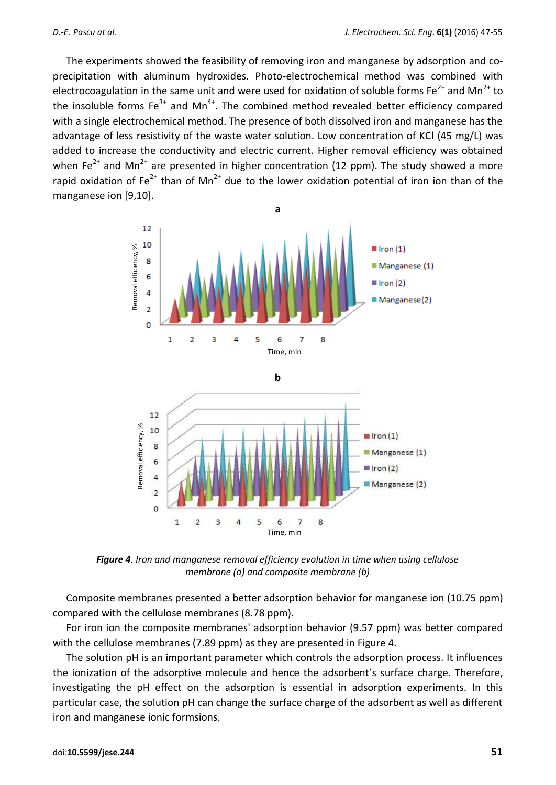The experiments showed the feasibility of removing iron and manganese by adsorption and coprecipitation with aluminum hydroxides. Photo-electrochemical method was combined with electrocoagulation in the same unit and were used for oxidation of soluble forms  $Fe^{2+}$  and Mn<sup>2+</sup> to the insoluble forms  $Fe^{3+}$  and Mn<sup>4+</sup>. The combined method revealed better efficiency compared with a single electrochemical method. The presence of both dissolved iron and manganese has the advantage of less resistivity of the waste water solution. Low concentration of KCl (45 mg/L) was added to increase the conductivity and electric current. Higher removal efficiency was obtained when Fe<sup>2+</sup> and Mn<sup>2+</sup> are presented in higher concentration (12 ppm). The study showed a more rapid oxidation of Fe<sup>2+</sup> than of Mn<sup>2+</sup> due to the lower oxidation potential of iron ion than of the manganese ion [9,10].



*Figure 4. Iron and manganese removal efficiency evolution in time when using cellulose membrane (a) and composite membrane (b)*

Composite membranes presented a better adsorption behavior for manganese ion (10.75 ppm) compared with the cellulose membranes (8.78 ppm).

For iron ion the composite membranes' adsorption behavior (9.57 ppm) was better compared with the cellulose membranes (7.89 ppm) as they are presented in Figure 4.

The solution pH is an important parameter which controls the adsorption process. It influences the ionization of the adsorptive molecule and hence the adsorbent's surface charge. Therefore, investigating the pH effect on the adsorption is essential in adsorption experiments. In this particular case, the solution pH can change the surface charge of the adsorbent as well as different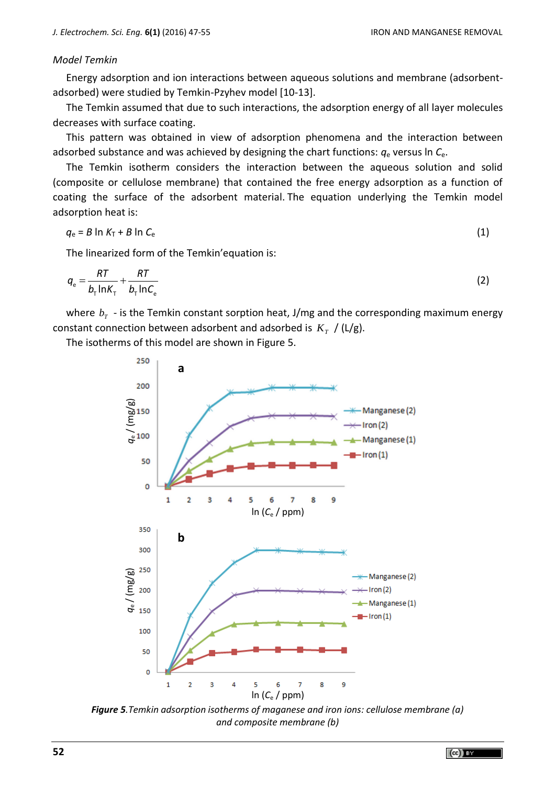### *Model Temkin*

Energy adsorption and ion interactions between aqueous solutions and membrane (adsorbentadsorbed) were studied by Temkin-Pzyhev model [10-13].

The Temkin assumed that due to such interactions, the adsorption energy of all layer molecules decreases with surface coating.

This pattern was obtained in view of adsorption phenomena and the interaction between adsorbed substance and was achieved by designing the chart functions: *q*<sup>e</sup> versus ln *C*e.

The Temkin isotherm considers the interaction between the aqueous solution and solid (composite or cellulose membrane) that contained the free energy adsorption as a function of coating the surface of the adsorbent material. The equation underlying the Temkin model adsorption heat is:

$$
q_{\rm e} = B \ln K_{\rm T} + B \ln C_{\rm e} \tag{1}
$$

The linearized form of the Temkin'equation is:

$$
q_{\rm e} = \frac{RT}{b_{\rm T} \ln K_{\rm T}} + \frac{RT}{b_{\rm T} \ln C_{\rm e}}
$$
 (2)

where  $b_T$  - is the Temkin constant sorption heat, J/mg and the corresponding maximum energy constant connection between adsorbent and adsorbed is  $K<sub>T</sub>$  / (L/g).

The isotherms of this model are shown in Figure 5.



*Figure 5.Temkin adsorption isotherms of maganese and iron ions: cellulose membrane (a) and composite membrane (b)*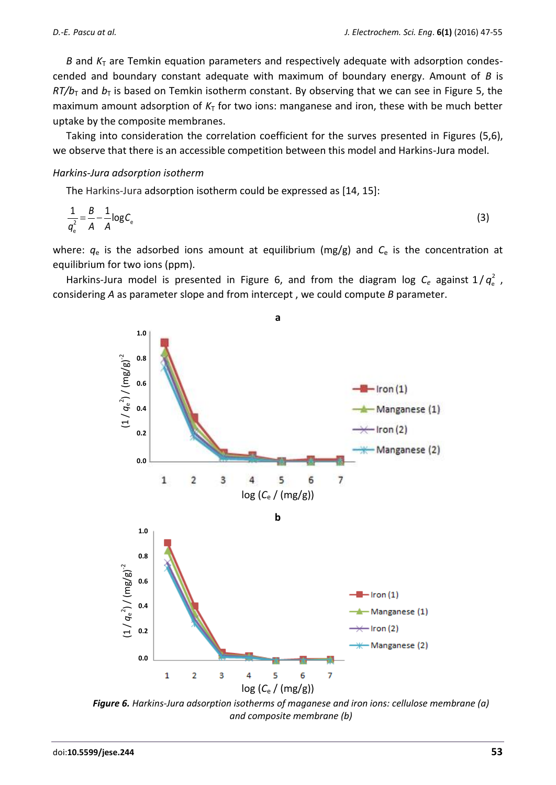*B* and  $K<sub>T</sub>$  are Temkin equation parameters and respectively adequate with adsorption condescended and boundary constant adequate with maximum of boundary energy. Amount of *B* is  $RT/b_T$  and  $b_T$  is based on Temkin isotherm constant. By observing that we can see in Figure 5, the maximum amount adsorption of  $K<sub>T</sub>$  for two ions: manganese and iron, these with be much better uptake by the composite membranes.

Taking into consideration the correlation coefficient for the surves presented in Figures (5,6), we observe that there is an accessible competition between this model and Harkins-Jura model.

## *Harkins-Jura adsorption isotherm*

The Harkins-Jura adsorption isotherm could be expressed as [14, 15]:

$$
\frac{1}{q_e^2} = \frac{B}{A} - \frac{1}{A} \log C_e
$$
 (3)

where: *q*<sup>e</sup> is the adsorbed ions amount at equilibrium (mg/g) and *C*<sup>e</sup> is the concentration at equilibrium for two ions (ppm).

Harkins-Jura model is presented in Figure 6, and from the diagram log  $C_e$  against  $1/q_e^2$  $1/q_{\rm e}^2$  , considering *A* as parameter slope and from intercept , we could compute *B* parameter.



*Figure 6. Harkins-Jura adsorption isotherms of maganese and iron ions: cellulose membrane (a) and composite membrane (b)*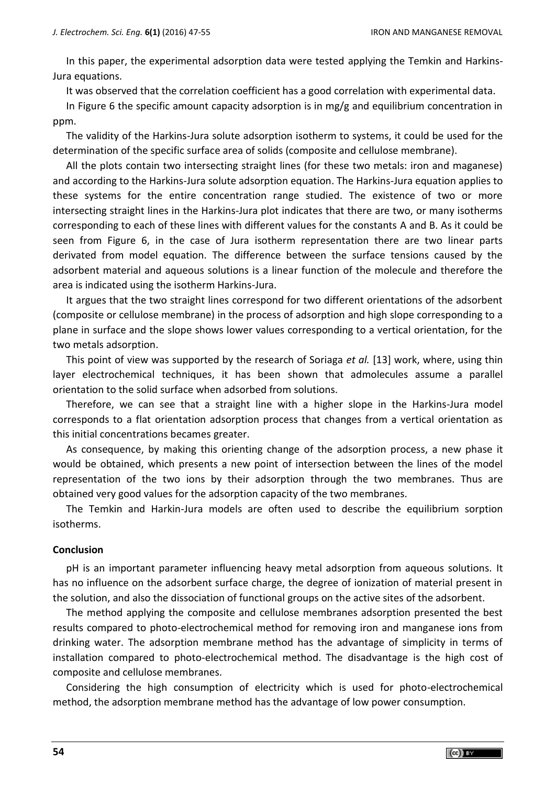In this paper, the experimental adsorption data were tested applying the Temkin and Harkins-Jura equations.

It was observed that the correlation coefficient has a good correlation with experimental data.

In Figure 6 the specific amount capacity adsorption is in mg/g and equilibrium concentration in ppm.

The validity of the Harkins-Jura solute adsorption isotherm to systems, it could be used for the determination of the specific surface area of solids (composite and cellulose membrane).

All the plots contain two intersecting straight lines (for these two metals: iron and maganese) and according to the Harkins-Jura solute adsorption equation. The Harkins-Jura equation applies to these systems for the entire concentration range studied. The existence of two or more intersecting straight lines in the Harkins-Jura plot indicates that there are two, or many isotherms corresponding to each of these lines with different values for the constants A and B. As it could be seen from Figure 6, in the case of Jura isotherm representation there are two linear parts derivated from model equation. The difference between the surface tensions caused by the adsorbent material and aqueous solutions is a linear function of the molecule and therefore the area is indicated using the isotherm Harkins-Jura.

It argues that the two straight lines correspond for two different orientations of the adsorbent (composite or cellulose membrane) in the process of adsorption and high slope corresponding to a plane in surface and the slope shows lower values corresponding to a vertical orientation, for the two metals adsorption.

This point of view was supported by the research of Soriaga *et al.* [13] work, where, using thin layer electrochemical techniques, it has been shown that admolecules assume a parallel orientation to the solid surface when adsorbed from solutions.

Therefore, we can see that a straight line with a higher slope in the Harkins-Jura model corresponds to a flat orientation adsorption process that changes from a vertical orientation as this initial concentrations becames greater.

As consequence, by making this orienting change of the adsorption process, a new phase it would be obtained, which presents a new point of intersection between the lines of the model representation of the two ions by their adsorption through the two membranes. Thus are obtained very good values for the adsorption capacity of the two membranes.

The Temkin and Harkin-Jura models are often used to describe the equilibrium sorption isotherms.

### **Conclusion**

pH is an important parameter influencing heavy metal adsorption from aqueous solutions. It has no influence on the adsorbent surface charge, the degree of ionization of material present in the solution, and also the dissociation of functional groups on the active sites of the adsorbent.

The method applying the composite and cellulose membranes adsorption presented the best results compared to photo-electrochemical method for removing iron and manganese ions from drinking water. The adsorption membrane method has the advantage of simplicity in terms of installation compared to photo-electrochemical method. The disadvantage is the high cost of composite and cellulose membranes.

Considering the high consumption of electricity which is used for photo-electrochemical method, the adsorption membrane method has the advantage of low power consumption.